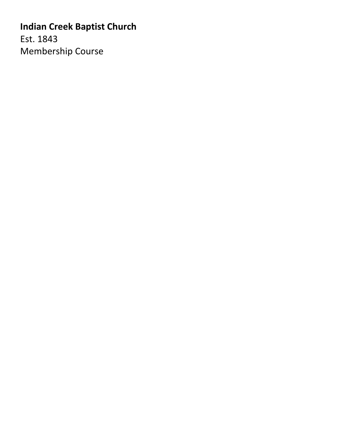# **Indian Creek Baptist Church**

Est. 1843 Membership Course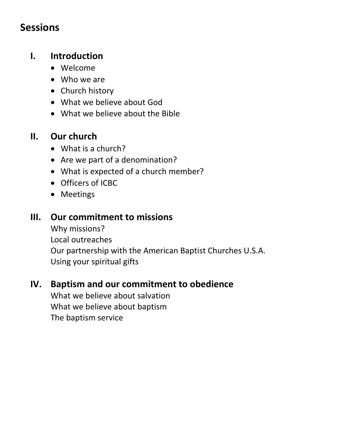# **Sessions**

# **I. Introduction**

- Welcome
- Who we are
- Church history
- What we believe about God
- What we believe about the Bible

# **II. Our church**

- What is a church?
- Are we part of a denomination?
- What is expected of a church member?
- Officers of ICBC
- Meetings

# **III. Our commitment to missions**

Why missions? Local outreaches Our partnership with the American Baptist Churches U.S.A. Using your spiritual gifts

# **IV. Baptism and our commitment to obedience**

What we believe about salvation What we believe about baptism The baptism service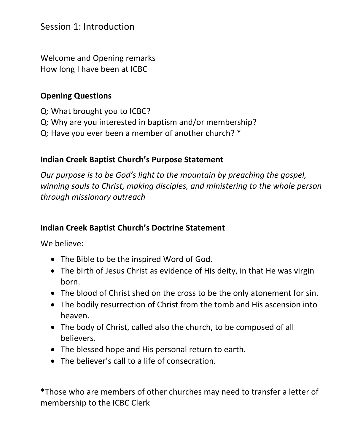### Session 1: Introduction

Welcome and Opening remarks How long I have been at ICBC

#### **Opening Questions**

- Q: What brought you to ICBC?
- Q: Why are you interested in baptism and/or membership?
- Q: Have you ever been a member of another church? \*

#### **Indian Creek Baptist Church's Purpose Statement**

*Our purpose is to be God's light to the mountain by preaching the gospel, winning souls to Christ, making disciples, and ministering to the whole person through missionary outreach*

#### **Indian Creek Baptist Church's Doctrine Statement**

We believe:

- The Bible to be the inspired Word of God.
- The birth of Jesus Christ as evidence of His deity, in that He was virgin born.
- The blood of Christ shed on the cross to be the only atonement for sin.
- The bodily resurrection of Christ from the tomb and His ascension into heaven.
- The body of Christ, called also the church, to be composed of all believers.
- The blessed hope and His personal return to earth.
- The believer's call to a life of consecration.

\*Those who are members of other churches may need to transfer a letter of membership to the ICBC Clerk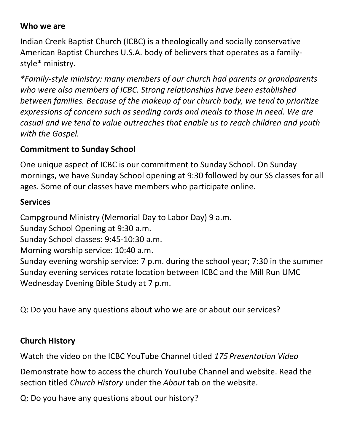#### **Who we are**

Indian Creek Baptist Church (ICBC) is a theologically and socially conservative American Baptist Churches U.S.A. body of believers that operates as a familystyle\* ministry.

*\*Family-style ministry: many members of our church had parents or grandparents who were also members of ICBC. Strong relationships have been established between families. Because of the makeup of our church body, we tend to prioritize expressions of concern such as sending cards and meals to those in need. We are casual and we tend to value outreaches that enable us to reach children and youth with the Gospel.* 

#### **Commitment to Sunday School**

One unique aspect of ICBC is our commitment to Sunday School. On Sunday mornings, we have Sunday School opening at 9:30 followed by our SS classes for all ages. Some of our classes have members who participate online.

#### **Services**

Campground Ministry (Memorial Day to Labor Day) 9 a.m.

Sunday School Opening at 9:30 a.m.

Sunday School classes: 9:45-10:30 a.m.

Morning worship service: 10:40 a.m.

Sunday evening worship service: 7 p.m. during the school year; 7:30 in the summer Sunday evening services rotate location between ICBC and the Mill Run UMC Wednesday Evening Bible Study at 7 p.m.

Q: Do you have any questions about who we are or about our services?

### **Church History**

Watch the video on the ICBC YouTube Channel titled *175 Presentation Video*

Demonstrate how to access the church YouTube Channel and website. Read the section titled *Church History* under the *About* tab on the website.

Q: Do you have any questions about our history?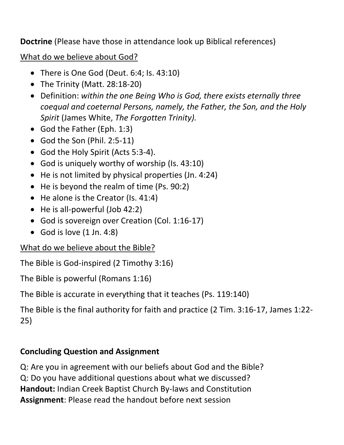**Doctrine** (Please have those in attendance look up Biblical references)

What do we believe about God?

- There is One God (Deut. 6:4; Is. 43:10)
- The Trinity (Matt. 28:18-20)
- Definition: *within the one Being Who is God, there exists eternally three coequal and coeternal Persons, namely, the Father, the Son, and the Holy Spirit* (James White, *The Forgotten Trinity).*
- God the Father (Eph. 1:3)
- God the Son (Phil. 2:5-11)
- God the Holy Spirit (Acts 5:3-4).
- God is uniquely worthy of worship (Is. 43:10)
- He is not limited by physical properties (Jn. 4:24)
- He is beyond the realm of time (Ps. 90:2)
- He alone is the Creator (Is. 41:4)
- He is all-powerful (Job 42:2)
- God is sovereign over Creation (Col. 1:16-17)
- God is love  $(1 \text{ Jn. } 4:8)$

What do we believe about the Bible?

The Bible is God-inspired (2 Timothy 3:16)

The Bible is powerful (Romans 1:16)

The Bible is accurate in everything that it teaches (Ps. 119:140)

The Bible is the final authority for faith and practice (2 Tim. 3:16-17, James 1:22- 25)

# **Concluding Question and Assignment**

Q: Are you in agreement with our beliefs about God and the Bible? Q: Do you have additional questions about what we discussed? **Handout:** Indian Creek Baptist Church By-laws and Constitution **Assignment**: Please read the handout before next session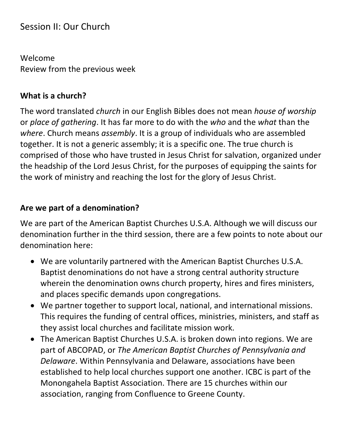# Session II: Our Church

Welcome Review from the previous week

#### **What is a church?**

The word translated *church* in our English Bibles does not mean *house of worship*  or *place of gathering*. It has far more to do with the *who* and the *what* than the *where*. Church means *assembly*. It is a group of individuals who are assembled together. It is not a generic assembly; it is a specific one. The true church is comprised of those who have trusted in Jesus Christ for salvation, organized under the headship of the Lord Jesus Christ, for the purposes of equipping the saints for the work of ministry and reaching the lost for the glory of Jesus Christ.

#### **Are we part of a denomination?**

We are part of the American Baptist Churches U.S.A. Although we will discuss our denomination further in the third session, there are a few points to note about our denomination here:

- We are voluntarily partnered with the American Baptist Churches U.S.A. Baptist denominations do not have a strong central authority structure wherein the denomination owns church property, hires and fires ministers, and places specific demands upon congregations.
- We partner together to support local, national, and international missions. This requires the funding of central offices, ministries, ministers, and staff as they assist local churches and facilitate mission work.
- The American Baptist Churches U.S.A. is broken down into regions. We are part of ABCOPAD, or *The American Baptist Churches of Pennsylvania and Delaware*. Within Pennsylvania and Delaware, associations have been established to help local churches support one another. ICBC is part of the Monongahela Baptist Association. There are 15 churches within our association, ranging from Confluence to Greene County.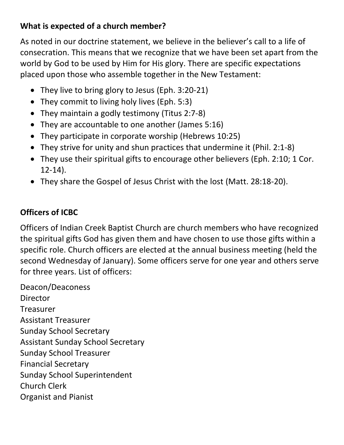# **What is expected of a church member?**

As noted in our doctrine statement, we believe in the believer's call to a life of consecration. This means that we recognize that we have been set apart from the world by God to be used by Him for His glory. There are specific expectations placed upon those who assemble together in the New Testament:

- They live to bring glory to Jesus (Eph. 3:20-21)
- They commit to living holy lives (Eph. 5:3)
- They maintain a godly testimony (Titus 2:7-8)
- They are accountable to one another (James 5:16)
- They participate in corporate worship (Hebrews 10:25)
- They strive for unity and shun practices that undermine it (Phil. 2:1-8)
- They use their spiritual gifts to encourage other believers (Eph. 2:10; 1 Cor. 12-14).
- They share the Gospel of Jesus Christ with the lost (Matt. 28:18-20).

# **Officers of ICBC**

Officers of Indian Creek Baptist Church are church members who have recognized the spiritual gifts God has given them and have chosen to use those gifts within a specific role. Church officers are elected at the annual business meeting (held the second Wednesday of January). Some officers serve for one year and others serve for three years. List of officers:

Deacon/Deaconess Director Treasurer Assistant Treasurer Sunday School Secretary Assistant Sunday School Secretary Sunday School Treasurer Financial Secretary Sunday School Superintendent Church Clerk Organist and Pianist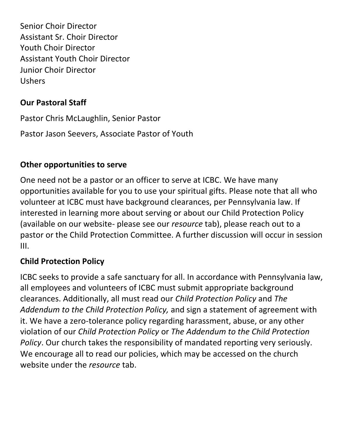Senior Choir Director Assistant Sr. Choir Director Youth Choir Director Assistant Youth Choir Director Junior Choir Director Ushers

#### **Our Pastoral Staff**

Pastor Chris McLaughlin, Senior Pastor

Pastor Jason Seevers, Associate Pastor of Youth

### **Other opportunities to serve**

One need not be a pastor or an officer to serve at ICBC. We have many opportunities available for you to use your spiritual gifts. Please note that all who volunteer at ICBC must have background clearances, per Pennsylvania law. If interested in learning more about serving or about our Child Protection Policy (available on our website- please see our *resource* tab), please reach out to a pastor or the Child Protection Committee. A further discussion will occur in session III.

### **Child Protection Policy**

ICBC seeks to provide a safe sanctuary for all. In accordance with Pennsylvania law, all employees and volunteers of ICBC must submit appropriate background clearances. Additionally, all must read our *Child Protection Policy* and *The Addendum to the Child Protection Policy,* and sign a statement of agreement with it. We have a zero-tolerance policy regarding harassment, abuse, or any other violation of our *Child Protection Policy* or *The Addendum to the Child Protection Policy*. Our church takes the responsibility of mandated reporting very seriously. We encourage all to read our policies, which may be accessed on the church website under the *resource* tab.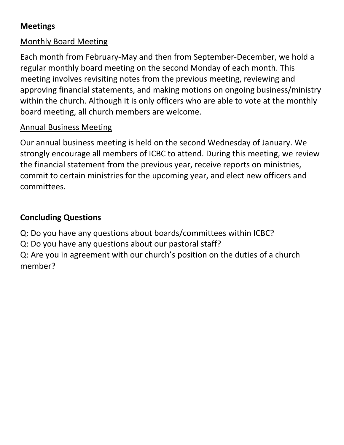# **Meetings**

# Monthly Board Meeting

Each month from February-May and then from September-December, we hold a regular monthly board meeting on the second Monday of each month. This meeting involves revisiting notes from the previous meeting, reviewing and approving financial statements, and making motions on ongoing business/ministry within the church. Although it is only officers who are able to vote at the monthly board meeting, all church members are welcome.

# Annual Business Meeting

Our annual business meeting is held on the second Wednesday of January. We strongly encourage all members of ICBC to attend. During this meeting, we review the financial statement from the previous year, receive reports on ministries, commit to certain ministries for the upcoming year, and elect new officers and committees.

# **Concluding Questions**

Q: Do you have any questions about boards/committees within ICBC?

Q: Do you have any questions about our pastoral staff?

Q: Are you in agreement with our church's position on the duties of a church member?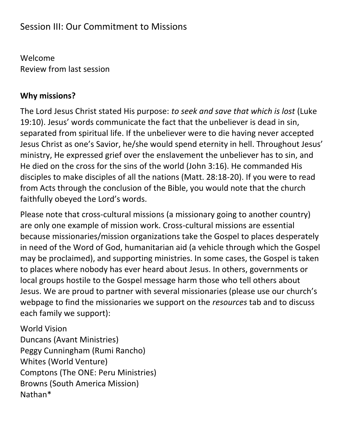# Session III: Our Commitment to Missions

Welcome Review from last session

#### **Why missions?**

The Lord Jesus Christ stated His purpose: *to seek and save that which is lost* (Luke 19:10). Jesus' words communicate the fact that the unbeliever is dead in sin, separated from spiritual life. If the unbeliever were to die having never accepted Jesus Christ as one's Savior, he/she would spend eternity in hell. Throughout Jesus' ministry, He expressed grief over the enslavement the unbeliever has to sin, and He died on the cross for the sins of the world (John 3:16). He commanded His disciples to make disciples of all the nations (Matt. 28:18-20). If you were to read from Acts through the conclusion of the Bible, you would note that the church faithfully obeyed the Lord's words.

Please note that cross-cultural missions (a missionary going to another country) are only one example of mission work. Cross-cultural missions are essential because missionaries/mission organizations take the Gospel to places desperately in need of the Word of God, humanitarian aid (a vehicle through which the Gospel may be proclaimed), and supporting ministries. In some cases, the Gospel is taken to places where nobody has ever heard about Jesus. In others, governments or local groups hostile to the Gospel message harm those who tell others about Jesus. We are proud to partner with several missionaries (please use our church's webpage to find the missionaries we support on the *resources* tab and to discuss each family we support):

World Vision Duncans (Avant Ministries) Peggy Cunningham (Rumi Rancho) Whites (World Venture) Comptons (The ONE: Peru Ministries) Browns (South America Mission) Nathan\*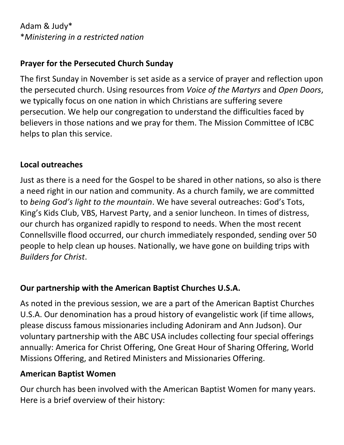Adam & Judy\* \**Ministering in a restricted nation*

### **Prayer for the Persecuted Church Sunday**

The first Sunday in November is set aside as a service of prayer and reflection upon the persecuted church. Using resources from *Voice of the Martyrs* and *Open Doors*, we typically focus on one nation in which Christians are suffering severe persecution. We help our congregation to understand the difficulties faced by believers in those nations and we pray for them. The Mission Committee of ICBC helps to plan this service.

### **Local outreaches**

Just as there is a need for the Gospel to be shared in other nations, so also is there a need right in our nation and community. As a church family, we are committed to *being God's light to the mountain*. We have several outreaches: God's Tots, King's Kids Club, VBS, Harvest Party, and a senior luncheon. In times of distress, our church has organized rapidly to respond to needs. When the most recent Connellsville flood occurred, our church immediately responded, sending over 50 people to help clean up houses. Nationally, we have gone on building trips with *Builders for Christ*.

# **Our partnership with the American Baptist Churches U.S.A.**

As noted in the previous session, we are a part of the American Baptist Churches U.S.A. Our denomination has a proud history of evangelistic work (if time allows, please discuss famous missionaries including Adoniram and Ann Judson). Our voluntary partnership with the ABC USA includes collecting four special offerings annually: America for Christ Offering, One Great Hour of Sharing Offering, World Missions Offering, and Retired Ministers and Missionaries Offering.

#### **American Baptist Women**

Our church has been involved with the American Baptist Women for many years. Here is a brief overview of their history: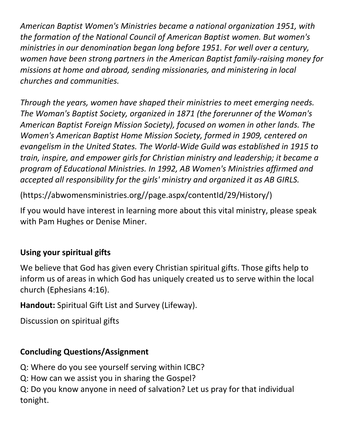*American Baptist Women's Ministries became a national organization 1951, with the formation of the National Council of American Baptist women. But women's ministries in our denomination began long before 1951. For well over a century, women have been strong partners in the American Baptist family-raising money for missions at home and abroad, sending missionaries, and ministering in local churches and communities.*

*Through the years, women have shaped their ministries to meet emerging needs. The Woman's Baptist Society, organized in 1871 (the forerunner of the Woman's American Baptist Foreign Mission Society), focused on women in other lands. The Women's American Baptist Home Mission Society, formed in 1909, centered on evangelism in the United States. The World-Wide Guild was established in 1915 to train, inspire, and empower girls for Christian ministry and leadership; it became a program of Educational Ministries. In 1992, AB Women's Ministries affirmed and accepted all responsibility for the girls' ministry and organized it as AB GIRLS.*

(https://abwomensministries.org//page.aspx/contentId/29/History/)

If you would have interest in learning more about this vital ministry, please speak with Pam Hughes or Denise Miner.

# **Using your spiritual gifts**

We believe that God has given every Christian spiritual gifts. Those gifts help to inform us of areas in which God has uniquely created us to serve within the local church (Ephesians 4:16).

**Handout:** Spiritual Gift List and Survey (Lifeway).

Discussion on spiritual gifts

# **Concluding Questions/Assignment**

Q: Where do you see yourself serving within ICBC?

Q: How can we assist you in sharing the Gospel?

Q: Do you know anyone in need of salvation? Let us pray for that individual tonight.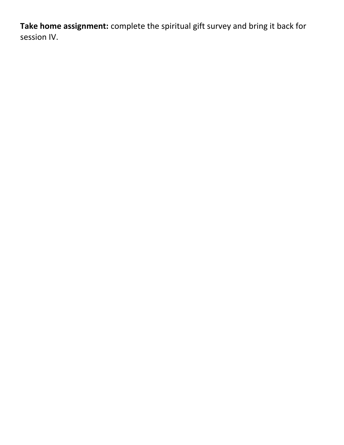**Take home assignment:** complete the spiritual gift survey and bring it back for session IV.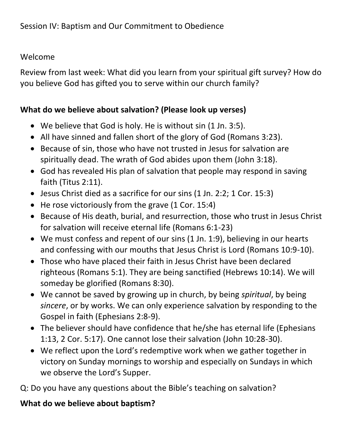#### Welcome

Review from last week: What did you learn from your spiritual gift survey? How do you believe God has gifted you to serve within our church family?

#### **What do we believe about salvation? (Please look up verses)**

- We believe that God is holy. He is without sin (1 Jn. 3:5).
- All have sinned and fallen short of the glory of God (Romans 3:23).
- Because of sin, those who have not trusted in Jesus for salvation are spiritually dead. The wrath of God abides upon them (John 3:18).
- God has revealed His plan of salvation that people may respond in saving faith (Titus 2:11).
- Jesus Christ died as a sacrifice for our sins (1 Jn. 2:2; 1 Cor. 15:3)
- He rose victoriously from the grave (1 Cor. 15:4)
- Because of His death, burial, and resurrection, those who trust in Jesus Christ for salvation will receive eternal life (Romans 6:1-23)
- We must confess and repent of our sins (1 Jn. 1:9), believing in our hearts and confessing with our mouths that Jesus Christ is Lord (Romans 10:9-10).
- Those who have placed their faith in Jesus Christ have been declared righteous (Romans 5:1). They are being sanctified (Hebrews 10:14). We will someday be glorified (Romans 8:30).
- We cannot be saved by growing up in church, by being *spiritual*, by being *sincere*, or by works. We can only experience salvation by responding to the Gospel in faith (Ephesians 2:8-9).
- The believer should have confidence that he/she has eternal life (Ephesians 1:13, 2 Cor. 5:17). One cannot lose their salvation (John 10:28-30).
- We reflect upon the Lord's redemptive work when we gather together in victory on Sunday mornings to worship and especially on Sundays in which we observe the Lord's Supper.

Q: Do you have any questions about the Bible's teaching on salvation?

### **What do we believe about baptism?**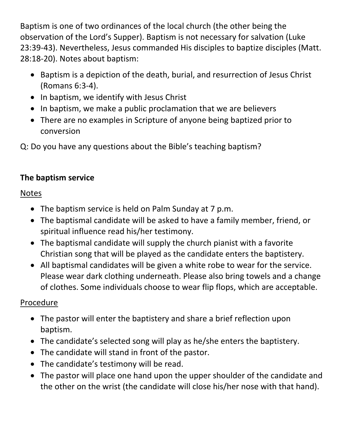Baptism is one of two ordinances of the local church (the other being the observation of the Lord's Supper). Baptism is not necessary for salvation (Luke 23:39-43). Nevertheless, Jesus commanded His disciples to baptize disciples (Matt. 28:18-20). Notes about baptism:

- Baptism is a depiction of the death, burial, and resurrection of Jesus Christ (Romans 6:3-4).
- In baptism, we identify with Jesus Christ
- In baptism, we make a public proclamation that we are believers
- There are no examples in Scripture of anyone being baptized prior to conversion

Q: Do you have any questions about the Bible's teaching baptism?

# **The baptism service**

### **Notes**

- The baptism service is held on Palm Sunday at 7 p.m.
- The baptismal candidate will be asked to have a family member, friend, or spiritual influence read his/her testimony.
- The baptismal candidate will supply the church pianist with a favorite Christian song that will be played as the candidate enters the baptistery.
- All baptismal candidates will be given a white robe to wear for the service. Please wear dark clothing underneath. Please also bring towels and a change of clothes. Some individuals choose to wear flip flops, which are acceptable.

# Procedure

- The pastor will enter the baptistery and share a brief reflection upon baptism.
- The candidate's selected song will play as he/she enters the baptistery.
- The candidate will stand in front of the pastor.
- The candidate's testimony will be read.
- The pastor will place one hand upon the upper shoulder of the candidate and the other on the wrist (the candidate will close his/her nose with that hand).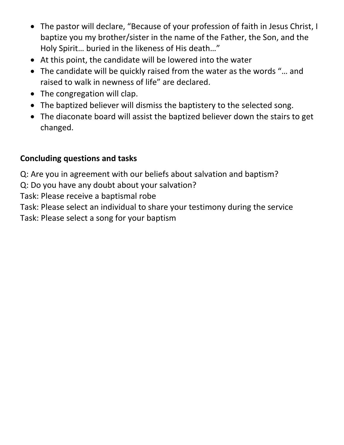- The pastor will declare, "Because of your profession of faith in Jesus Christ, I baptize you my brother/sister in the name of the Father, the Son, and the Holy Spirit… buried in the likeness of His death…"
- At this point, the candidate will be lowered into the water
- The candidate will be quickly raised from the water as the words "… and raised to walk in newness of life" are declared.
- The congregation will clap.
- The baptized believer will dismiss the baptistery to the selected song.
- The diaconate board will assist the baptized believer down the stairs to get changed.

### **Concluding questions and tasks**

Q: Are you in agreement with our beliefs about salvation and baptism?

Q: Do you have any doubt about your salvation?

Task: Please receive a baptismal robe

Task: Please select an individual to share your testimony during the service

Task: Please select a song for your baptism